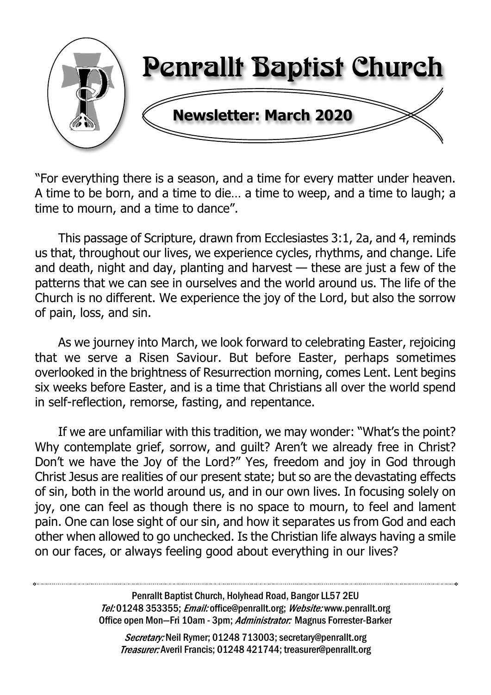

"For everything there is a season, and a time for every matter under heaven. A time to be born, and a time to die… a time to weep, and a time to laugh; a time to mourn, and a time to dance".

This passage of Scripture, drawn from Ecclesiastes 3:1, 2a, and 4, reminds us that, throughout our lives, we experience cycles, rhythms, and change. Life and death, night and day, planting and harvest — these are just a few of the patterns that we can see in ourselves and the world around us. The life of the Church is no different. We experience the joy of the Lord, but also the sorrow of pain, loss, and sin.

As we journey into March, we look forward to celebrating Easter, rejoicing that we serve a Risen Saviour. But before Easter, perhaps sometimes overlooked in the brightness of Resurrection morning, comes Lent. Lent begins six weeks before Easter, and is a time that Christians all over the world spend in self-reflection, remorse, fasting, and repentance.

If we are unfamiliar with this tradition, we may wonder: "What's the point? Why contemplate grief, sorrow, and quilt? Aren't we already free in Christ? Don't we have the Joy of the Lord?" Yes, freedom and joy in God through Christ Jesus are realities of our present state; but so are the devastating effects of sin, both in the world around us, and in our own lives. In focusing solely on joy, one can feel as though there is no space to mourn, to feel and lament pain. One can lose sight of our sin, and how it separates us from God and each other when allowed to go unchecked. Is the Christian life always having a smile on our faces, or always feeling good about everything in our lives?

> Penrallt Baptist Church, Holyhead Road, Bangor LL57 2EU Tel:01248 353355; Email: office@penrallt.org; Website: www.penrallt.org Office open Mon-Fri 10am - 3pm; Administrator: Magnus Forrester-Barker

Secretary: Neil Rymer; 01248 713003; secretary@penrallt.org Treasurer: Averil Francis; 01248 421744; treasurer@penrallt.org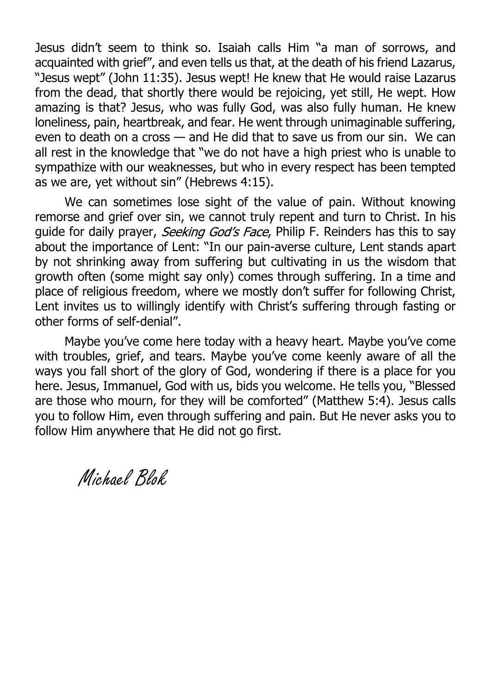Jesus didn't seem to think so. Isaiah calls Him "a man of sorrows, and acquainted with grief", and even tells us that, at the death of his friend Lazarus, "Jesus wept" (John 11:35). Jesus wept! He knew that He would raise Lazarus from the dead, that shortly there would be rejoicing, yet still, He wept. How amazing is that? Jesus, who was fully God, was also fully human. He knew loneliness, pain, heartbreak, and fear. He went through unimaginable suffering, even to death on a cross — and He did that to save us from our sin. We can all rest in the knowledge that "we do not have a high priest who is unable to sympathize with our weaknesses, but who in every respect has been tempted as we are, yet without sin" (Hebrews 4:15).

We can sometimes lose sight of the value of pain. Without knowing remorse and grief over sin, we cannot truly repent and turn to Christ. In his quide for daily prayer, *Seeking God's Face*, Philip F. Reinders has this to say about the importance of Lent: "In our pain-averse culture, Lent stands apart by not shrinking away from suffering but cultivating in us the wisdom that growth often (some might say only) comes through suffering. In a time and place of religious freedom, where we mostly don't suffer for following Christ, Lent invites us to willingly identify with Christ's suffering through fasting or other forms of self-denial".

Maybe you've come here today with a heavy heart. Maybe you've come with troubles, grief, and tears. Maybe you've come keenly aware of all the ways you fall short of the glory of God, wondering if there is a place for you here. Jesus, Immanuel, God with us, bids you welcome. He tells you, "Blessed are those who mourn, for they will be comforted" (Matthew 5:4). Jesus calls you to follow Him, even through suffering and pain. But He never asks you to follow Him anywhere that He did not go first.

Michael Blok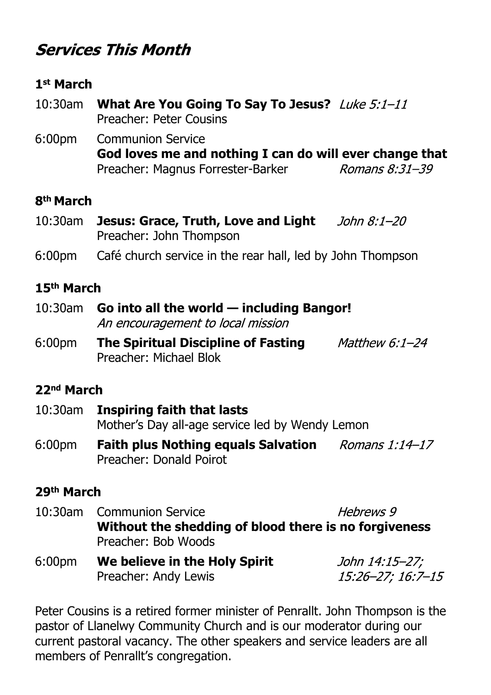# **Services This Month**

### **1st March**

- 10:30am **What Are You Going To Say To Jesus?** Preacher: Peter Cousins
- 6:00pm Communion Service **God loves me and nothing I can do will ever change that** Preacher: Magnus Forrester-Barker Romans  $8:31-39$

### **8th March**

- 10:30am **Jesus: Grace, Truth, Love and Light** Preacher: John Thompson
- 6:00pm Café church service in the rear hall, led by John Thompson

### **15th March**

- 10:30am **Go into all the world including Bangor!** An encouragement to local mission
- 6:00pm **The Spiritual Discipline of Fasting** Matthew  $6:1-24$ Preacher: Michael Blok

### **22nd March**

- 10:30am **Inspiring faith that lasts** Mother's Day all-age service led by Wendy Lemon
- 6:00pm **Faith plus Nothing equals Salvation** Preacher: Donald Poirot

### **29th March**

- 10:30am Communion Service Hehrews 9 **Without the shedding of blood there is no forgiveness** Preacher: Bob Woods
- 6:00pm **We believe in the Holy Spirit** John 14:15-27; Preacher: Andy Lewis  $15:26 - 27:16:7 - 15$

Peter Cousins is a retired former minister of Penrallt. John Thompson is the pastor of Llanelwy Community Church and is our moderator during our current pastoral vacancy. The other speakers and service leaders are all members of Penrallt's congregation.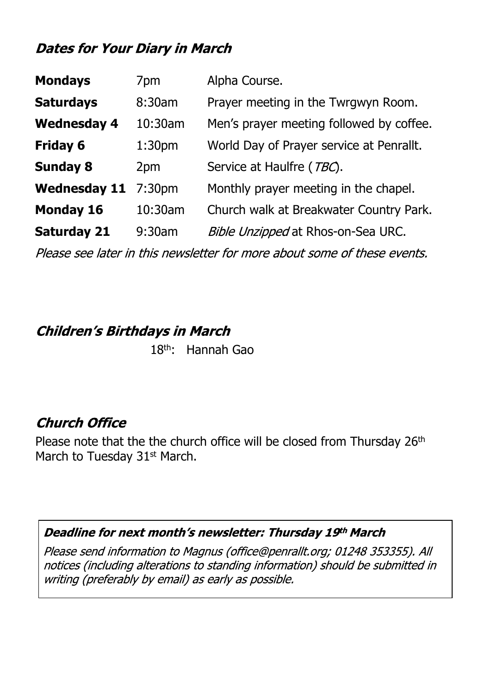## **Dates for Your Diary in March**

| <b>Mondays</b>      | 7pm                | Alpha Course.                            |  |
|---------------------|--------------------|------------------------------------------|--|
| <b>Saturdays</b>    | 8:30am             | Prayer meeting in the Twrgwyn Room.      |  |
| <b>Wednesday 4</b>  | 10:30am            | Men's prayer meeting followed by coffee. |  |
| <b>Friday 6</b>     | 1:30 <sub>pm</sub> | World Day of Prayer service at Penrallt. |  |
| <b>Sunday 8</b>     | 2pm                | Service at Haulfre (TBC).                |  |
| <b>Wednesday 11</b> | 7:30 <sub>pm</sub> | Monthly prayer meeting in the chapel.    |  |
| <b>Monday 16</b>    | 10:30am            | Church walk at Breakwater Country Park.  |  |
|                     |                    | Bible Unzipped at Rhos-on-Sea URC.       |  |
| <b>Saturday 21</b>  | $9:30$ am          |                                          |  |

Please see later in this newsletter for more about some of these events.

### **Children's Birthdays in March**

18th: Hannah Gao

## **Church Office**

Please note that the the church office will be closed from Thursday 26<sup>th</sup> March to Tuesday 31<sup>st</sup> March.

### Deadline for next month's newsletter: Thursday 19th March

Please send information to Magnus (office@penrallt.org; 01248 353355). All notices (including alterations to standing information) should be submitted in writing (preferably by email) as early as possible.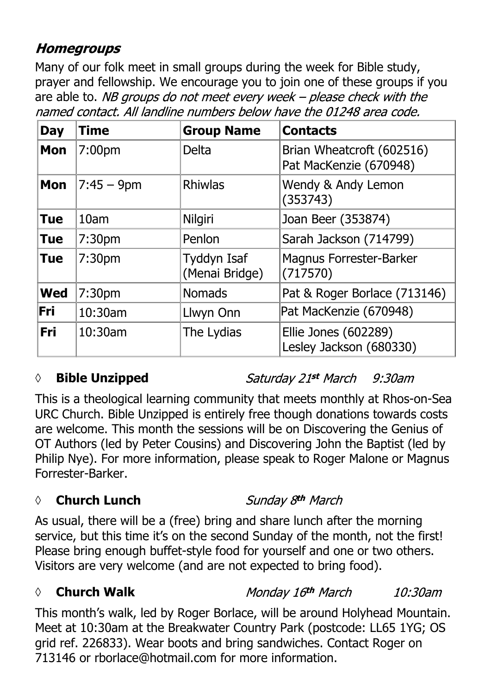## **Homegroups**

Many of our folk meet in small groups during the week for Bible study, prayer and fellowship. We encourage you to join one of these groups if you are able to. NB groups do not meet every week - please check with the named contact. All landline numbers below have the 01248 area code.

| <b>Day</b> | <b>Time</b>        | <b>Group Name</b>             | <b>Contacts</b>                                     |
|------------|--------------------|-------------------------------|-----------------------------------------------------|
| <b>Mon</b> | 7:00 <sub>pm</sub> | <b>Delta</b>                  | Brian Wheatcroft (602516)<br>Pat MacKenzie (670948) |
| <b>Mon</b> | $7:45 - 9$ pm      | <b>Rhiwlas</b>                | Wendy & Andy Lemon<br>(353743)                      |
| <b>Tue</b> | 10 <sub>am</sub>   | Nilgiri                       | Joan Beer (353874)                                  |
| <b>Tue</b> | 7:30 <sub>pm</sub> | Penlon                        | Sarah Jackson (714799)                              |
| <b>Tue</b> | 7:30pm             | Tyddyn Isaf<br>(Menai Bridge) | <b>Magnus Forrester-Barker</b><br>(717570)          |
| <b>Wed</b> | 7:30 <sub>pm</sub> | <b>Nomads</b>                 | Pat & Roger Borlace (713146)                        |
| lFri I     | $10:30$ am         | Llwyn Onn                     | Pat MacKenzie (670948)                              |
| <b>Fri</b> | 10:30am            | The Lydias                    | Ellie Jones (602289)<br>Lesley Jackson (680330)     |

## *◊* **Bible Unzipped**

Saturday 21st March 9:30am

This is a theological learning community that meets monthly at Rhos-on-Sea URC Church. Bible Unzipped is entirely free though donations towards costs are welcome. This month the sessions will be on Discovering the Genius of OT Authors (led by Peter Cousins) and Discovering John the Baptist (led by Philip Nye). For more information, please speak to Roger Malone or Magnus Forrester-Barker.

## *◊* **Church Lunch**

Sunday 8th March

As usual, there will be a (free) bring and share lunch after the morning service, but this time it's on the second Sunday of the month, not the first! Please bring enough buffet-style food for yourself and one or two others. Visitors are very welcome (and are not expected to bring food).

#### *◊* **Church Walk** Monday 16th March  $10:30$ am

This month's walk, led by Roger Borlace, will be around Holyhead Mountain. Meet at 10:30am at the Breakwater Country Park (postcode: LL65 1YG; OS grid ref. 226833). Wear boots and bring sandwiches. Contact Roger on 713146 or rborlace@hotmail.com for more information.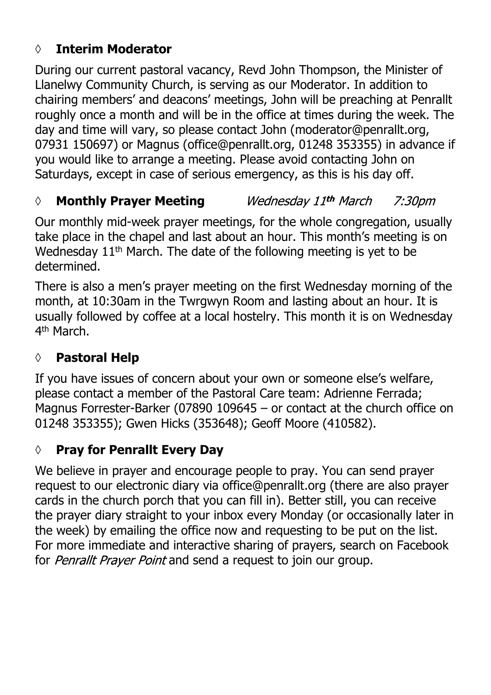## **◊ Interim Moderator**

During our current pastoral vacancy, Revd John Thompson, the Minister of Llanelwy Community Church, is serving as our Moderator. In addition to chairing members' and deacons' meetings, John will be preaching at Penrallt roughly once a month and will be in the office at times during the week. The day and time will vary, so please contact John (moderator@penrallt.org, 07931 150697) or Magnus (office@penrallt.org, 01248 353355) in advance if you would like to arrange a meeting. Please avoid contacting John on Saturdays, except in case of serious emergency, as this is his day off.

#### *◊* **Monthly Prayer Meeting** Wednesday 11th March 7:30*pm*

Our monthly mid-week prayer meetings, for the whole congregation, usually take place in the chapel and last about an hour. This month's meeting is on Wednesday 11<sup>th</sup> March. The date of the following meeting is yet to be determined.

There is also a men's prayer meeting on the first Wednesday morning of the month, at 10:30am in the Twrgwyn Room and lasting about an hour. It is usually followed by coffee at a local hostelry. This month it is on Wednesday 4<sup>th</sup> March.

## **◊ Pastoral Help**

If you have issues of concern about your own or someone else's welfare, please contact a member of the Pastoral Care team: Adrienne Ferrada; Magnus Forrester-Barker (07890 109645 – or contact at the church office on 01248 353355); Gwen Hicks (353648); Geoff Moore (410582).

## **◊ Pray for Penrallt Every Day**

We believe in prayer and encourage people to pray. You can send prayer request to our electronic diary via office@penrallt.org (there are also prayer cards in the church porch that you can fill in). Better still, you can receive the prayer diary straight to your inbox every Monday (or occasionally later in the week) by emailing the office now and requesting to be put on the list. For more immediate and interactive sharing of prayers, search on Facebook for *Penrallt Praver Point* and send a request to join our group.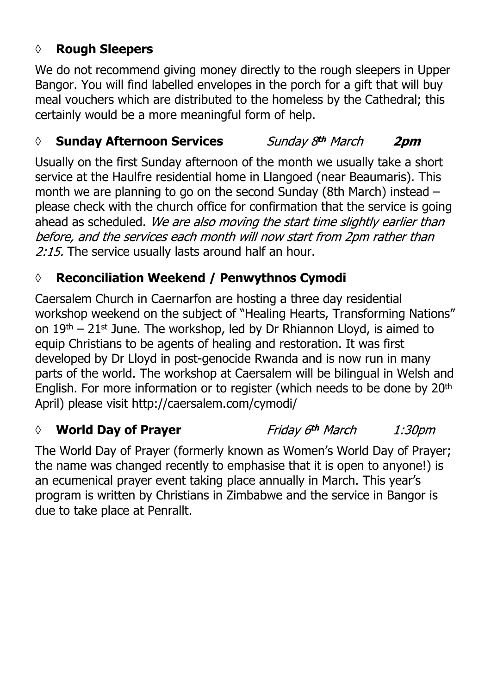## **◊ Rough Sleepers**

We do not recommend giving money directly to the rough sleepers in Upper Bangor. You will find labelled envelopes in the porch for a gift that will buy meal vouchers which are distributed to the homeless by the Cathedral; this certainly would be a more meaningful form of help.

### *◊* **Sunday Afternoon Services**

Sunday 8th March 2pm

Usually on the first Sunday afternoon of the month we usually take a short service at the Haulfre residential home in Llangoed (near Beaumaris). This month we are planning to go on the second Sunday (8th March) instead – please check with the church office for confirmation that the service is going ahead as scheduled. We are also moving the start time slightly earlier than before, and the services each month will now start from 2pm rather than 2:15. The service usually lasts around half an hour.

# **◊ Reconciliation Weekend / Penwythnos Cymodi**

Caersalem Church in Caernarfon are hosting a three day residential workshop weekend on the subject of "Healing Hearts, Transforming Nations" on  $19<sup>th</sup> - 21<sup>st</sup>$  June. The workshop, led by Dr Rhiannon Lloyd, is aimed to equip Christians to be agents of healing and restoration. It was first developed by Dr Lloyd in post-genocide Rwanda and is now run in many parts of the world. The workshop at Caersalem will be bilingual in Welsh and English. For more information or to register (which needs to be done by 20th April) please visit http://caersalem.com/cymodi/

## *◊* **World Day of Prayer**

Friday 6<sup>th</sup> March 1:30pm

The World Day of Prayer (formerly known as Women's World Day of Prayer; the name was changed recently to emphasise that it is open to anyone!) is an ecumenical prayer event taking place annually in March. This year's program is written by Christians in Zimbabwe and the service in Bangor is due to take place at Penrallt.